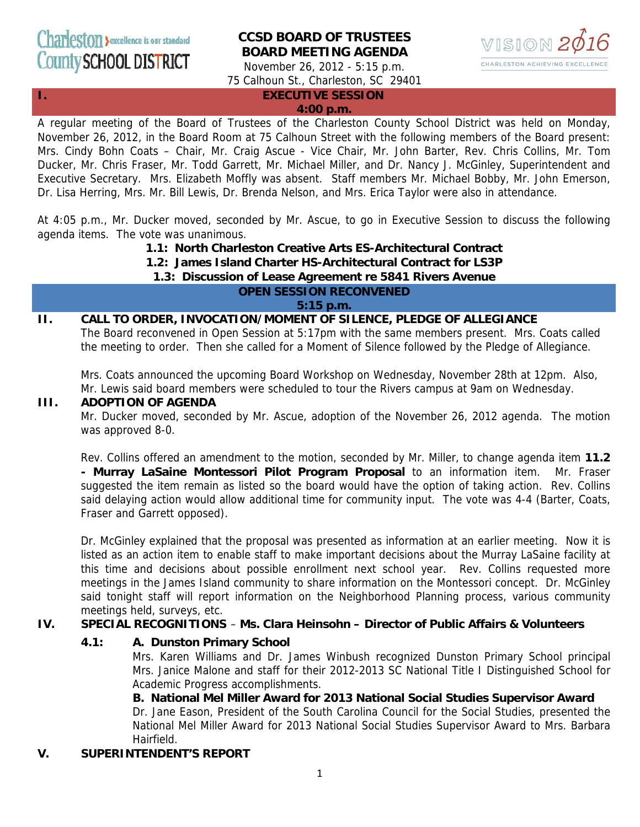# **CCSD BOARD OF TRUSTEES BOARD MEETING AGENDA**



November 26, 2012 - 5:15 p.m. 75 Calhoun St., Charleston, SC 29401

## **I. EXECUTIVE SESSION**

**4:00 p.m.**

A regular meeting of the Board of Trustees of the Charleston County School District was held on Monday, November 26, 2012, in the Board Room at 75 Calhoun Street with the following members of the Board present: Mrs. Cindy Bohn Coats – Chair, Mr. Craig Ascue - Vice Chair, Mr. John Barter, Rev. Chris Collins, Mr. Tom Ducker, Mr. Chris Fraser, Mr. Todd Garrett, Mr. Michael Miller, and Dr. Nancy J. McGinley, Superintendent and Executive Secretary. Mrs. Elizabeth Moffly was absent. Staff members Mr. Michael Bobby, Mr. John Emerson, Dr. Lisa Herring, Mrs. Mr. Bill Lewis, Dr. Brenda Nelson, and Mrs. Erica Taylor were also in attendance.

At 4:05 p.m., Mr. Ducker moved, seconded by Mr. Ascue, to go in Executive Session to discuss the following agenda items. The vote was unanimous.

**1.1: North Charleston Creative Arts ES-Architectural Contract**

**1.2: James Island Charter HS-Architectural Contract for LS3P**

## **1.3: Discussion of Lease Agreement re 5841 Rivers Avenue**

## **OPEN SESSION RECONVENED**

**5:15 p.m.** 

## **II. CALL TO ORDER, INVOCATION/MOMENT OF SILENCE, PLEDGE OF ALLEGIANCE**

The Board reconvened in Open Session at 5:17pm with the same members present. Mrs. Coats called the meeting to order. Then she called for a Moment of Silence followed by the Pledge of Allegiance.

Mrs. Coats announced the upcoming Board Workshop on Wednesday, November 28th at 12pm. Also, Mr. Lewis said board members were scheduled to tour the Rivers campus at 9am on Wednesday.

### **III. ADOPTION OF AGENDA**

Mr. Ducker moved, seconded by Mr. Ascue, adoption of the November 26, 2012 agenda. The motion was approved 8-0.

Rev. Collins offered an amendment to the motion, seconded by Mr. Miller, to change agenda item **11.2 - Murray LaSaine Montessori Pilot Program Proposal** to an information item. Mr. Fraser suggested the item remain as listed so the board would have the option of taking action. Rev. Collins said delaying action would allow additional time for community input. The vote was 4-4 (Barter, Coats, Fraser and Garrett opposed).

Dr. McGinley explained that the proposal was presented as information at an earlier meeting. Now it is listed as an action item to enable staff to make important decisions about the Murray LaSaine facility at this time and decisions about possible enrollment next school year. Rev. Collins requested more meetings in the James Island community to share information on the Montessori concept. Dr. McGinley said tonight staff will report information on the Neighborhood Planning process, various community meetings held, surveys, etc.

## **IV. SPECIAL RECOGNITIONS** – **Ms. Clara Heinsohn – Director of Public Affairs & Volunteers**

## **4.1: A. Dunston Primary School**

Mrs. Karen Williams and Dr. James Winbush recognized Dunston Primary School principal Mrs. Janice Malone and staff for their 2012-2013 SC National Title I Distinguished School for Academic Progress accomplishments.

## **B. National Mel Miller Award for 2013 National Social Studies Supervisor Award**

Dr. Jane Eason, President of the South Carolina Council for the Social Studies, presented the National Mel Miller Award for 2013 National Social Studies Supervisor Award to Mrs. Barbara Hairfield.

## **V. SUPERINTENDENT'S REPORT**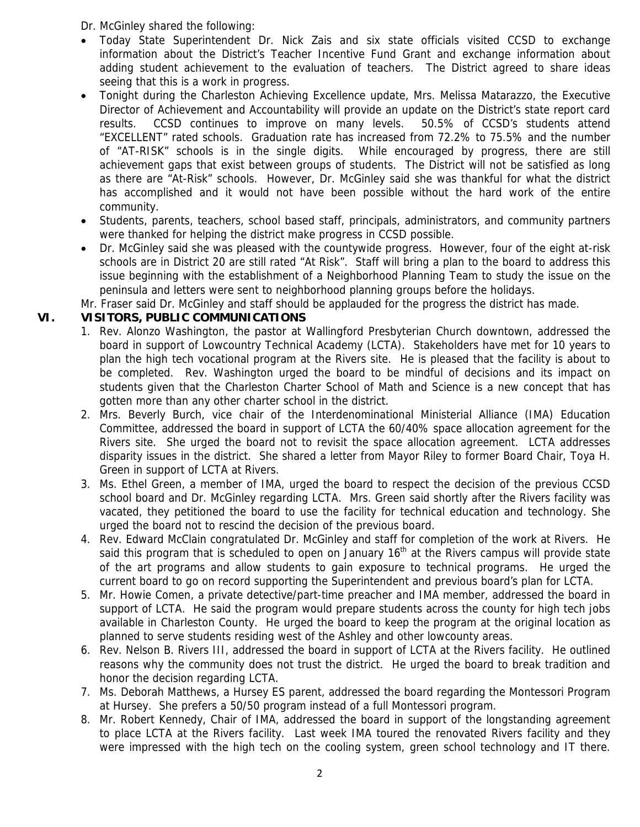Dr. McGinley shared the following:

- Today State Superintendent Dr. Nick Zais and six state officials visited CCSD to exchange information about the District's Teacher Incentive Fund Grant and exchange information about adding student achievement to the evaluation of teachers. The District agreed to share ideas seeing that this is a work in progress.
- Tonight during the Charleston Achieving Excellence update, Mrs. Melissa Matarazzo, the Executive Director of Achievement and Accountability will provide an update on the District's state report card results. CCSD continues to improve on many levels. 50.5% of CCSD's students attend "EXCELLENT" rated schools. Graduation rate has increased from 72.2% to 75.5% and the number of "AT-RISK" schools is in the single digits. While encouraged by progress, there are still achievement gaps that exist between groups of students. The District will not be satisfied as long as there are "At-Risk" schools. However, Dr. McGinley said she was thankful for what the district has accomplished and it would not have been possible without the hard work of the entire community.
- Students, parents, teachers, school based staff, principals, administrators, and community partners were thanked for helping the district make progress in CCSD possible.
- Dr. McGinley said she was pleased with the countywide progress. However, four of the eight at-risk schools are in District 20 are still rated "At Risk". Staff will bring a plan to the board to address this issue beginning with the establishment of a Neighborhood Planning Team to study the issue on the peninsula and letters were sent to neighborhood planning groups before the holidays.

Mr. Fraser said Dr. McGinley and staff should be applauded for the progress the district has made.

## **VI. VISITORS, PUBLIC COMMUNICATIONS**

- 1. Rev. Alonzo Washington, the pastor at Wallingford Presbyterian Church downtown, addressed the board in support of Lowcountry Technical Academy (LCTA). Stakeholders have met for 10 years to plan the high tech vocational program at the Rivers site. He is pleased that the facility is about to be completed. Rev. Washington urged the board to be mindful of decisions and its impact on students given that the Charleston Charter School of Math and Science is a new concept that has gotten more than any other charter school in the district.
- 2. Mrs. Beverly Burch, vice chair of the Interdenominational Ministerial Alliance (IMA) Education Committee, addressed the board in support of LCTA the 60/40% space allocation agreement for the Rivers site. She urged the board not to revisit the space allocation agreement. LCTA addresses disparity issues in the district. She shared a letter from Mayor Riley to former Board Chair, Toya H. Green in support of LCTA at Rivers.
- 3. Ms. Ethel Green, a member of IMA, urged the board to respect the decision of the previous CCSD school board and Dr. McGinley regarding LCTA. Mrs. Green said shortly after the Rivers facility was vacated, they petitioned the board to use the facility for technical education and technology. She urged the board not to rescind the decision of the previous board.
- 4. Rev. Edward McClain congratulated Dr. McGinley and staff for completion of the work at Rivers. He said this program that is scheduled to open on January 16<sup>th</sup> at the Rivers campus will provide state of the art programs and allow students to gain exposure to technical programs. He urged the current board to go on record supporting the Superintendent and previous board's plan for LCTA.
- 5. Mr. Howie Comen, a private detective/part-time preacher and IMA member, addressed the board in support of LCTA. He said the program would prepare students across the county for high tech jobs available in Charleston County. He urged the board to keep the program at the original location as planned to serve students residing west of the Ashley and other lowcounty areas.
- 6. Rev. Nelson B. Rivers III, addressed the board in support of LCTA at the Rivers facility. He outlined reasons why the community does not trust the district. He urged the board to break tradition and honor the decision regarding LCTA.
- 7. Ms. Deborah Matthews, a Hursey ES parent, addressed the board regarding the Montessori Program at Hursey. She prefers a 50/50 program instead of a full Montessori program.
- 8. Mr. Robert Kennedy, Chair of IMA, addressed the board in support of the longstanding agreement to place LCTA at the Rivers facility. Last week IMA toured the renovated Rivers facility and they were impressed with the high tech on the cooling system, green school technology and IT there.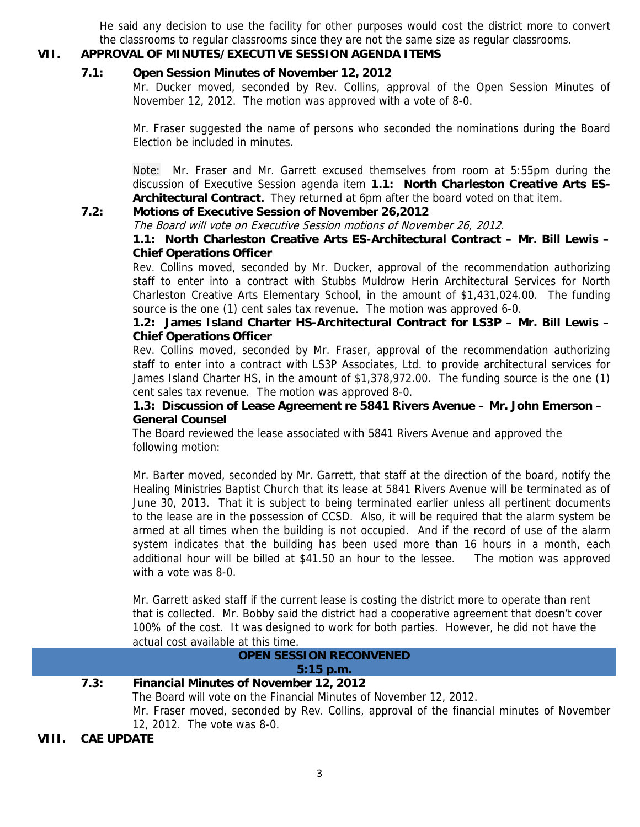He said any decision to use the facility for other purposes would cost the district more to convert the classrooms to regular classrooms since they are not the same size as regular classrooms.

## **VII. APPROVAL OF MINUTES/EXECUTIVE SESSION AGENDA ITEMS**

## **7.1: Open Session Minutes of November 12, 2012**

Mr. Ducker moved, seconded by Rev. Collins, approval of the Open Session Minutes of November 12, 2012. The motion was approved with a vote of 8-0.

Mr. Fraser suggested the name of persons who seconded the nominations during the Board Election be included in minutes.

Note: Mr. Fraser and Mr. Garrett excused themselves from room at 5:55pm during the discussion of Executive Session agenda item **1.1: North Charleston Creative Arts ES-Architectural Contract.** They returned at 6pm after the board voted on that item.

## **7.2: Motions of Executive Session of November 26,2012**

The Board will vote on Executive Session motions of November 26, 2012.

## **1.1: North Charleston Creative Arts ES-Architectural Contract – Mr. Bill Lewis – Chief Operations Officer**

Rev. Collins moved, seconded by Mr. Ducker, approval of the recommendation authorizing staff to enter into a contract with Stubbs Muldrow Herin Architectural Services for North Charleston Creative Arts Elementary School, in the amount of \$1,431,024.00. The funding source is the one (1) cent sales tax revenue. The motion was approved 6-0.

## **1.2: James Island Charter HS-Architectural Contract for LS3P – Mr. Bill Lewis – Chief Operations Officer**

Rev. Collins moved, seconded by Mr. Fraser, approval of the recommendation authorizing staff to enter into a contract with LS3P Associates, Ltd. to provide architectural services for James Island Charter HS, in the amount of \$1,378,972.00. The funding source is the one (1) cent sales tax revenue. The motion was approved 8-0.

## **1.3: Discussion of Lease Agreement re 5841 Rivers Avenue – Mr. John Emerson – General Counsel**

The Board reviewed the lease associated with 5841 Rivers Avenue and approved the following motion:

Mr. Barter moved, seconded by Mr. Garrett, that staff at the direction of the board, notify the Healing Ministries Baptist Church that its lease at 5841 Rivers Avenue will be terminated as of June 30, 2013. That it is subject to being terminated earlier unless all pertinent documents to the lease are in the possession of CCSD. Also, it will be required that the alarm system be armed at all times when the building is not occupied. And if the record of use of the alarm system indicates that the building has been used more than 16 hours in a month, each additional hour will be billed at \$41.50 an hour to the lessee. The motion was approved with a vote was 8-0.

Mr. Garrett asked staff if the current lease is costing the district more to operate than rent that is collected. Mr. Bobby said the district had a cooperative agreement that doesn't cover 100% of the cost. It was designed to work for both parties. However, he did not have the actual cost available at this time.

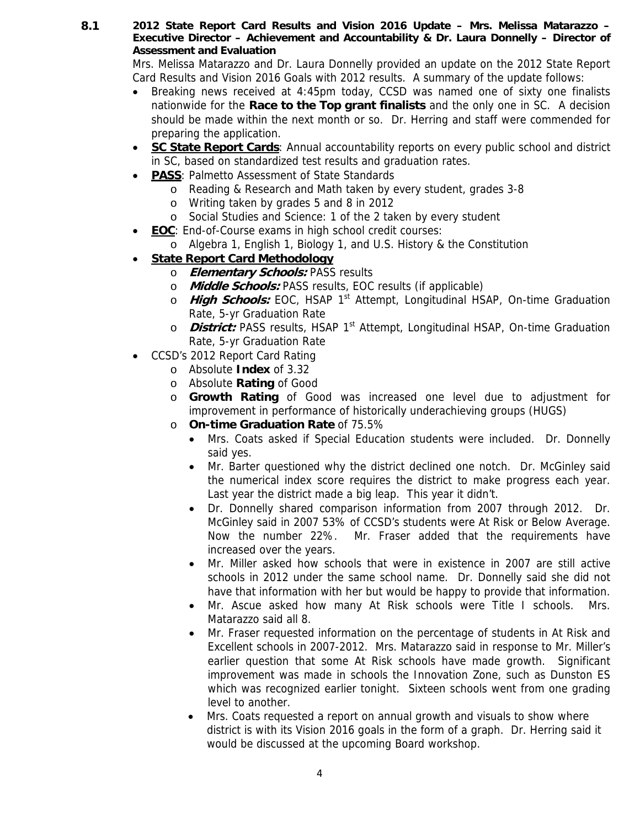**8.1 2012 State Report Card Results and Vision 2016 Update – Mrs. Melissa Matarazzo – Executive Director – Achievement and Accountability & Dr. Laura Donnelly – Director of Assessment and Evaluation** 

Mrs. Melissa Matarazzo and Dr. Laura Donnelly provided an update on the 2012 State Report Card Results and Vision 2016 Goals with 2012 results. A summary of the update follows:

- Breaking news received at 4:45pm today, CCSD was named one of sixty one finalists nationwide for the **Race to the Top grant finalists** and the only one in SC. A decision should be made within the next month or so. Dr. Herring and staff were commended for preparing the application.
- **SC State Report Cards**: Annual accountability reports on every public school and district in SC, based on standardized test results and graduation rates.
- **PASS**: Palmetto Assessment of State Standards
	- o Reading & Research and Math taken by every student, grades 3-8
	- o Writing taken by grades 5 and 8 in 2012
	- o Social Studies and Science: 1 of the 2 taken by every student
- **EOC**: End-of-Course exams in high school credit courses:
	- o Algebra 1, English 1, Biology 1, and U.S. History & the Constitution

## • **State Report Card Methodology**

- o **Elementary Schools:** PASS results
- o **Middle Schools:** PASS results, EOC results (if applicable)
- o **High Schools:** EOC, HSAP 1<sup>st</sup> Attempt, Longitudinal HSAP, On-time Graduation Rate, 5-yr Graduation Rate
- o **District:** PASS results, HSAP 1<sup>st</sup> Attempt, Longitudinal HSAP, On-time Graduation Rate, 5-yr Graduation Rate
- CCSD's 2012 Report Card Rating
	- o Absolute **Index** of 3.32
	- o Absolute **Rating** of Good
	- o **Growth Rating** of Good was increased one level due to adjustment for improvement in performance of historically underachieving groups (HUGS)
	- o **On-time Graduation Rate** of 75.5%
		- Mrs. Coats asked if Special Education students were included. Dr. Donnelly said yes.
		- Mr. Barter questioned why the district declined one notch. Dr. McGinley said the numerical index score requires the district to make progress each year. Last year the district made a big leap. This year it didn't.
		- Dr. Donnelly shared comparison information from 2007 through 2012. Dr. McGinley said in 2007 53% of CCSD's students were At Risk or Below Average. Now the number 22%. Mr. Fraser added that the requirements have increased over the years.
		- Mr. Miller asked how schools that were in existence in 2007 are still active schools in 2012 under the same school name. Dr. Donnelly said she did not have that information with her but would be happy to provide that information.
		- Mr. Ascue asked how many At Risk schools were Title I schools. Mrs. Matarazzo said all 8.
		- Mr. Fraser requested information on the percentage of students in At Risk and Excellent schools in 2007-2012. Mrs. Matarazzo said in response to Mr. Miller's earlier question that some At Risk schools have made growth. Significant improvement was made in schools the Innovation Zone, such as Dunston ES which was recognized earlier tonight. Sixteen schools went from one grading level to another.
		- Mrs. Coats requested a report on annual growth and visuals to show where district is with its Vision 2016 goals in the form of a graph. Dr. Herring said it would be discussed at the upcoming Board workshop.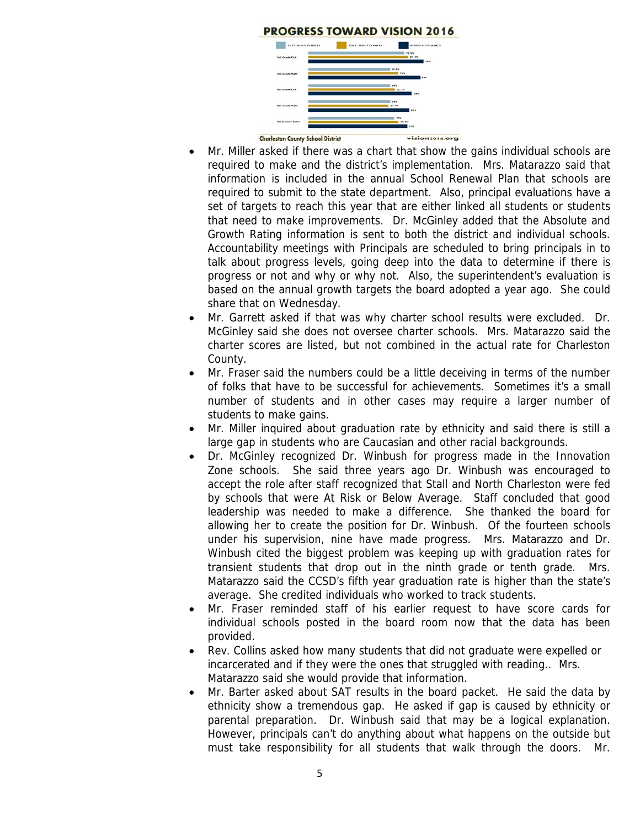

- Mr. Miller asked if there was a chart that show the gains individual schools are required to make and the district's implementation. Mrs. Matarazzo said that information is included in the annual School Renewal Plan that schools are required to submit to the state department. Also, principal evaluations have a set of targets to reach this year that are either linked all students or students that need to make improvements. Dr. McGinley added that the Absolute and Growth Rating information is sent to both the district and individual schools. Accountability meetings with Principals are scheduled to bring principals in to talk about progress levels, going deep into the data to determine if there is progress or not and why or why not. Also, the superintendent's evaluation is based on the annual growth targets the board adopted a year ago. She could share that on Wednesday.
- Mr. Garrett asked if that was why charter school results were excluded. Dr. McGinley said she does not oversee charter schools. Mrs. Matarazzo said the charter scores are listed, but not combined in the actual rate for Charleston County.
- Mr. Fraser said the numbers could be a little deceiving in terms of the number of folks that have to be successful for achievements. Sometimes it's a small number of students and in other cases may require a larger number of students to make gains.
- Mr. Miller inquired about graduation rate by ethnicity and said there is still a large gap in students who are Caucasian and other racial backgrounds.
- Dr. McGinley recognized Dr. Winbush for progress made in the Innovation Zone schools. She said three years ago Dr. Winbush was encouraged to accept the role after staff recognized that Stall and North Charleston were fed by schools that were At Risk or Below Average. Staff concluded that good leadership was needed to make a difference. She thanked the board for allowing her to create the position for Dr. Winbush. Of the fourteen schools under his supervision, nine have made progress. Mrs. Matarazzo and Dr. Winbush cited the biggest problem was keeping up with graduation rates for transient students that drop out in the ninth grade or tenth grade. Mrs. Matarazzo said the CCSD's fifth year graduation rate is higher than the state's average. She credited individuals who worked to track students.
- Mr. Fraser reminded staff of his earlier request to have score cards for individual schools posted in the board room now that the data has been provided.
- Rev. Collins asked how many students that did not graduate were expelled or incarcerated and if they were the ones that struggled with reading.. Mrs. Matarazzo said she would provide that information.
- Mr. Barter asked about SAT results in the board packet. He said the data by ethnicity show a tremendous gap. He asked if gap is caused by ethnicity or parental preparation. Dr. Winbush said that may be a logical explanation. However, principals can't do anything about what happens on the outside but must take responsibility for all students that walk through the doors. Mr.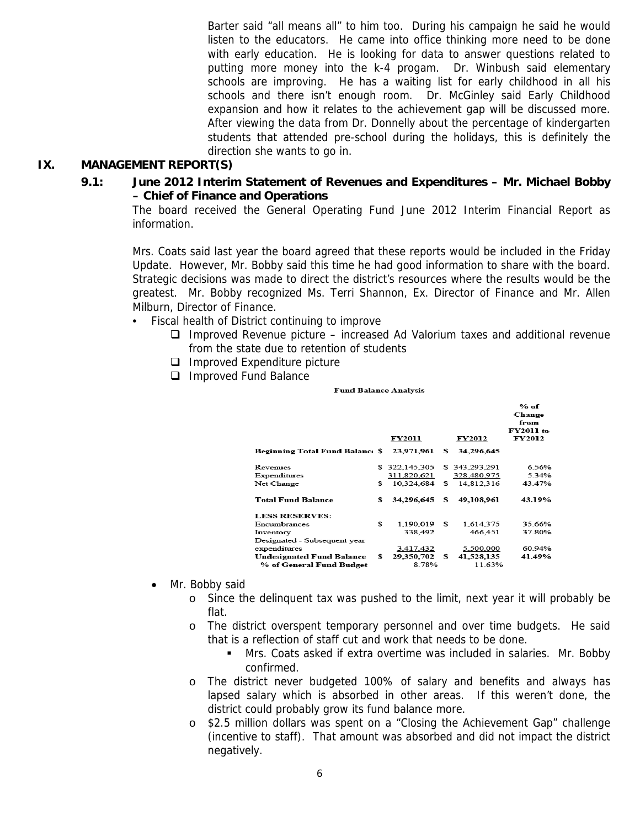Barter said "all means all" to him too. During his campaign he said he would listen to the educators. He came into office thinking more need to be done with early education. He is looking for data to answer questions related to putting more money into the k-4 progam. Dr. Winbush said elementary schools are improving. He has a waiting list for early childhood in all his schools and there isn't enough room. Dr. McGinley said Early Childhood expansion and how it relates to the achievement gap will be discussed more. After viewing the data from Dr. Donnelly about the percentage of kindergarten students that attended pre-school during the holidays, this is definitely the direction she wants to go in.

### **IX. MANAGEMENT REPORT(S)**

 **9.1: June 2012 Interim Statement of Revenues and Expenditures – Mr. Michael Bobby – Chief of Finance and Operations** 

The board received the General Operating Fund June 2012 Interim Financial Report as information.

Mrs. Coats said last year the board agreed that these reports would be included in the Friday Update. However, Mr. Bobby said this time he had good information to share with the board. Strategic decisions was made to direct the district's resources where the results would be the greatest. Mr. Bobby recognized Ms. Terri Shannon, Ex. Director of Finance and Mr. Allen Milburn, Director of Finance.

- Fiscal health of District continuing to improve
	- $\Box$  Improved Revenue picture increased Ad Valorium taxes and additional revenue from the state due to retention of students
	- $\Box$  Improved Expenditure picture
	- □ Improved Fund Balance

**Fund Balance Analysis** 

|                                                       |     |                     |                            | % of<br>Change                     |
|-------------------------------------------------------|-----|---------------------|----------------------------|------------------------------------|
|                                                       |     | FY2011              | <b>FY2012</b>              | from<br>FY2011 to<br><b>FY2012</b> |
| Beginning Total Fund Balancı \$                       |     | 23,971,961          | \$<br>34,296,645           |                                    |
| Revenues                                              | S   | 322,145,305         | \$343,293,291              | 6.56%                              |
| Expenditures                                          |     | 311,820,621         | 328,480,975                | 5 3 4 %                            |
| Net Change                                            | \$  | 10.324.684          | \$<br>14,812,316           | 43.47%                             |
| <b>Total Fund Balance</b>                             | s   | 34,296,645          | \$<br>49,108,961           | 43.19%                             |
| <b>LESS RESERVES:</b>                                 |     |                     |                            |                                    |
| Encumbrances                                          | \$. | 1.190.019           | \$<br>1.614.375            | 35.66%                             |
| Inventory                                             |     | 338,492             | 466,451                    | 37.80%                             |
| Designated - Subsequent year                          |     |                     |                            |                                    |
| expenditures                                          |     | 3,417,432           | 5,500,000                  | 60.94%                             |
| Undesignated Fund Balance<br>% of General Fund Budget | s.  | 29,350,702<br>8.78% | \$<br>41,528,135<br>11.63% | 41.49%                             |

- Mr. Bobby said
	- o Since the delinquent tax was pushed to the limit, next year it will probably be flat.
	- o The district overspent temporary personnel and over time budgets. He said that is a reflection of staff cut and work that needs to be done.
		- Mrs. Coats asked if extra overtime was included in salaries. Mr. Bobby confirmed.
	- o The district never budgeted 100% of salary and benefits and always has lapsed salary which is absorbed in other areas. If this weren't done, the district could probably grow its fund balance more.
	- o \$2.5 million dollars was spent on a "Closing the Achievement Gap" challenge (incentive to staff). That amount was absorbed and did not impact the district negatively.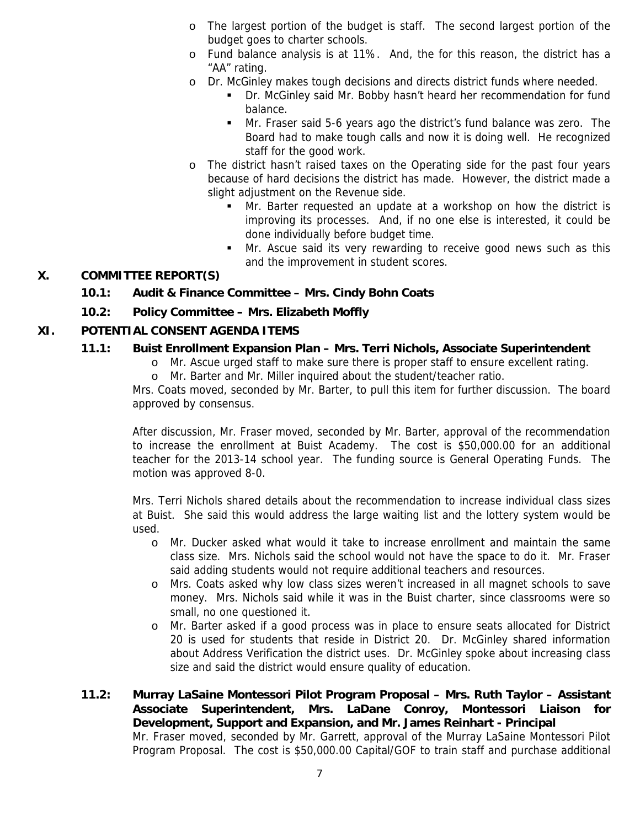- o The largest portion of the budget is staff. The second largest portion of the budget goes to charter schools.
- o Fund balance analysis is at 11%. And, the for this reason, the district has a "AA" rating.
- o Dr. McGinley makes tough decisions and directs district funds where needed.
	- Dr. McGinley said Mr. Bobby hasn't heard her recommendation for fund balance.
	- Mr. Fraser said 5-6 years ago the district's fund balance was zero. The Board had to make tough calls and now it is doing well. He recognized staff for the good work.
- o The district hasn't raised taxes on the Operating side for the past four years because of hard decisions the district has made. However, the district made a slight adjustment on the Revenue side.
	- Mr. Barter requested an update at a workshop on how the district is improving its processes. And, if no one else is interested, it could be done individually before budget time.
	- **Mr.** Ascue said its very rewarding to receive good news such as this and the improvement in student scores.

## **X. COMMITTEE REPORT(S)**

## **10.1: Audit & Finance Committee – Mrs. Cindy Bohn Coats**

**10.2: Policy Committee – Mrs. Elizabeth Moffly** 

## **XI. POTENTIAL CONSENT AGENDA ITEMS**

## **11.1: Buist Enrollment Expansion Plan – Mrs. Terri Nichols, Associate Superintendent**

- o Mr. Ascue urged staff to make sure there is proper staff to ensure excellent rating.
- o Mr. Barter and Mr. Miller inquired about the student/teacher ratio.

Mrs. Coats moved, seconded by Mr. Barter, to pull this item for further discussion. The board approved by consensus.

After discussion, Mr. Fraser moved, seconded by Mr. Barter, approval of the recommendation to increase the enrollment at Buist Academy. The cost is \$50,000.00 for an additional teacher for the 2013-14 school year. The funding source is General Operating Funds. The motion was approved 8-0.

Mrs. Terri Nichols shared details about the recommendation to increase individual class sizes at Buist. She said this would address the large waiting list and the lottery system would be used.

- o Mr. Ducker asked what would it take to increase enrollment and maintain the same class size. Mrs. Nichols said the school would not have the space to do it. Mr. Fraser said adding students would not require additional teachers and resources.
- o Mrs. Coats asked why low class sizes weren't increased in all magnet schools to save money. Mrs. Nichols said while it was in the Buist charter, since classrooms were so small, no one questioned it.
- o Mr. Barter asked if a good process was in place to ensure seats allocated for District 20 is used for students that reside in District 20. Dr. McGinley shared information about Address Verification the district uses. Dr. McGinley spoke about increasing class size and said the district would ensure quality of education.
- **11.2: Murray LaSaine Montessori Pilot Program Proposal Mrs. Ruth Taylor Assistant Associate Superintendent, Mrs. LaDane Conroy, Montessori Liaison for Development, Support and Expansion, and Mr. James Reinhart - Principal**  Mr. Fraser moved, seconded by Mr. Garrett, approval of the Murray LaSaine Montessori Pilot Program Proposal. The cost is \$50,000.00 Capital/GOF to train staff and purchase additional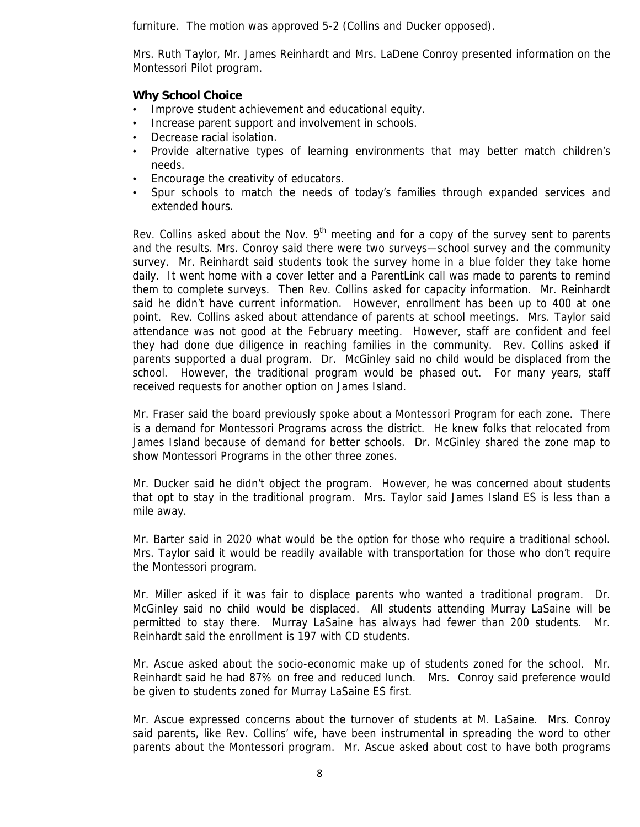furniture. The motion was approved 5-2 (Collins and Ducker opposed).

Mrs. Ruth Taylor, Mr. James Reinhardt and Mrs. LaDene Conroy presented information on the Montessori Pilot program.

## **Why School Choice**

- Improve student achievement and educational equity.
- Increase parent support and involvement in schools.
- Decrease racial isolation.
- Provide alternative types of learning environments that may better match children's needs.
- Encourage the creativity of educators.
- Spur schools to match the needs of today's families through expanded services and extended hours.

Rev. Collins asked about the Nov.  $9<sup>th</sup>$  meeting and for a copy of the survey sent to parents and the results. Mrs. Conroy said there were two surveys—school survey and the community survey. Mr. Reinhardt said students took the survey home in a blue folder they take home daily. It went home with a cover letter and a ParentLink call was made to parents to remind them to complete surveys. Then Rev. Collins asked for capacity information. Mr. Reinhardt said he didn't have current information. However, enrollment has been up to 400 at one point. Rev. Collins asked about attendance of parents at school meetings. Mrs. Taylor said attendance was not good at the February meeting. However, staff are confident and feel they had done due diligence in reaching families in the community. Rev. Collins asked if parents supported a dual program. Dr. McGinley said no child would be displaced from the school. However, the traditional program would be phased out. For many years, staff received requests for another option on James Island.

Mr. Fraser said the board previously spoke about a Montessori Program for each zone. There is a demand for Montessori Programs across the district. He knew folks that relocated from James Island because of demand for better schools. Dr. McGinley shared the zone map to show Montessori Programs in the other three zones.

Mr. Ducker said he didn't object the program. However, he was concerned about students that opt to stay in the traditional program. Mrs. Taylor said James Island ES is less than a mile away.

Mr. Barter said in 2020 what would be the option for those who require a traditional school. Mrs. Taylor said it would be readily available with transportation for those who don't require the Montessori program.

Mr. Miller asked if it was fair to displace parents who wanted a traditional program. Dr. McGinley said no child would be displaced. All students attending Murray LaSaine will be permitted to stay there. Murray LaSaine has always had fewer than 200 students. Mr. Reinhardt said the enrollment is 197 with CD students.

Mr. Ascue asked about the socio-economic make up of students zoned for the school. Mr. Reinhardt said he had 87% on free and reduced lunch. Mrs. Conroy said preference would be given to students zoned for Murray LaSaine ES first.

Mr. Ascue expressed concerns about the turnover of students at M. LaSaine. Mrs. Conroy said parents, like Rev. Collins' wife, have been instrumental in spreading the word to other parents about the Montessori program. Mr. Ascue asked about cost to have both programs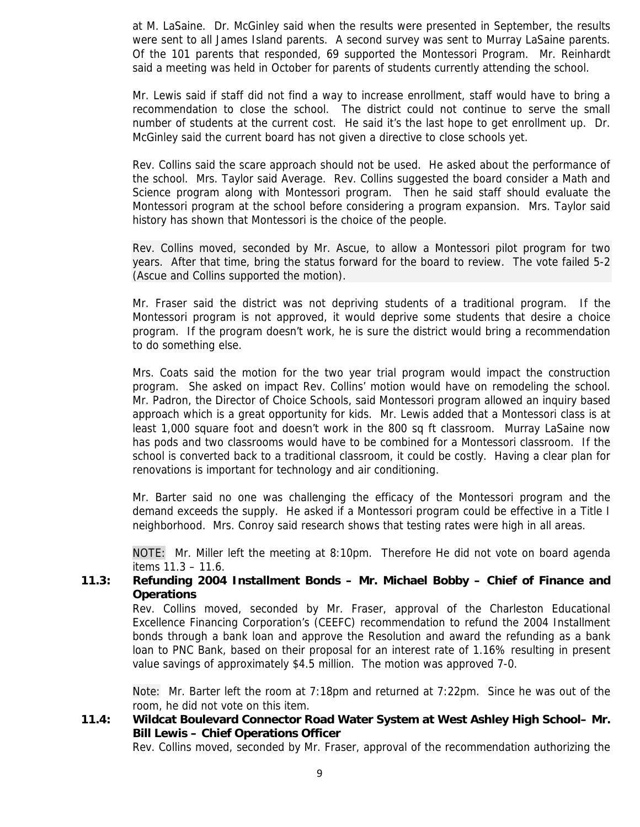at M. LaSaine. Dr. McGinley said when the results were presented in September, the results were sent to all James Island parents. A second survey was sent to Murray LaSaine parents. Of the 101 parents that responded, 69 supported the Montessori Program. Mr. Reinhardt said a meeting was held in October for parents of students currently attending the school.

Mr. Lewis said if staff did not find a way to increase enrollment, staff would have to bring a recommendation to close the school. The district could not continue to serve the small number of students at the current cost. He said it's the last hope to get enrollment up. Dr. McGinley said the current board has not given a directive to close schools yet.

Rev. Collins said the scare approach should not be used. He asked about the performance of the school. Mrs. Taylor said Average. Rev. Collins suggested the board consider a Math and Science program along with Montessori program. Then he said staff should evaluate the Montessori program at the school before considering a program expansion. Mrs. Taylor said history has shown that Montessori is the choice of the people.

Rev. Collins moved, seconded by Mr. Ascue, to allow a Montessori pilot program for two years. After that time, bring the status forward for the board to review. The vote failed 5-2 (Ascue and Collins supported the motion).

Mr. Fraser said the district was not depriving students of a traditional program. If the Montessori program is not approved, it would deprive some students that desire a choice program. If the program doesn't work, he is sure the district would bring a recommendation to do something else.

Mrs. Coats said the motion for the two year trial program would impact the construction program. She asked on impact Rev. Collins' motion would have on remodeling the school. Mr. Padron, the Director of Choice Schools, said Montessori program allowed an inquiry based approach which is a great opportunity for kids. Mr. Lewis added that a Montessori class is at least 1,000 square foot and doesn't work in the 800 sq ft classroom. Murray LaSaine now has pods and two classrooms would have to be combined for a Montessori classroom. If the school is converted back to a traditional classroom, it could be costly. Having a clear plan for renovations is important for technology and air conditioning.

Mr. Barter said no one was challenging the efficacy of the Montessori program and the demand exceeds the supply. He asked if a Montessori program could be effective in a Title I neighborhood. Mrs. Conroy said research shows that testing rates were high in all areas.

NOTE: Mr. Miller left the meeting at 8:10pm. Therefore He did not vote on board agenda items 11.3 – 11.6.

### **11.3: Refunding 2004 Installment Bonds – Mr. Michael Bobby – Chief of Finance and Operations**

Rev. Collins moved, seconded by Mr. Fraser, approval of the Charleston Educational Excellence Financing Corporation's (CEEFC) recommendation to refund the 2004 Installment bonds through a bank loan and approve the Resolution and award the refunding as a bank loan to PNC Bank, based on their proposal for an interest rate of 1.16% resulting in present value savings of approximately \$4.5 million. The motion was approved 7-0.

Note: Mr. Barter left the room at 7:18pm and returned at 7:22pm. Since he was out of the room, he did not vote on this item.

## **11.4: Wildcat Boulevard Connector Road Water System at West Ashley High School– Mr. Bill Lewis – Chief Operations Officer**

Rev. Collins moved, seconded by Mr. Fraser, approval of the recommendation authorizing the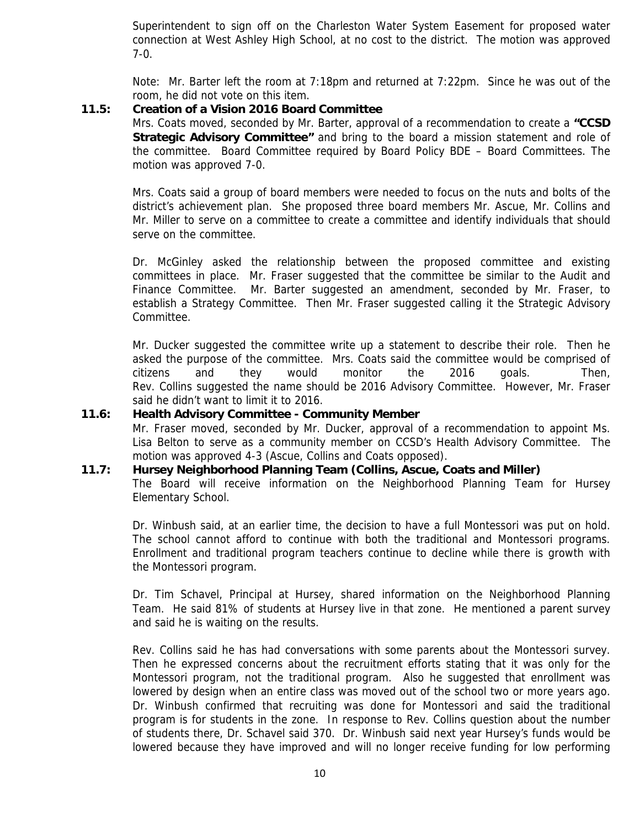Superintendent to sign off on the Charleston Water System Easement for proposed water connection at West Ashley High School, at no cost to the district. The motion was approved 7-0.

Note: Mr. Barter left the room at 7:18pm and returned at 7:22pm. Since he was out of the room, he did not vote on this item.

## **11.5: Creation of a Vision 2016 Board Committee**

Mrs. Coats moved, seconded by Mr. Barter, approval of a recommendation to create a **"CCSD Strategic Advisory Committee"** and bring to the board a mission statement and role of the committee. Board Committee required by Board Policy BDE – Board Committees. The motion was approved 7-0.

Mrs. Coats said a group of board members were needed to focus on the nuts and bolts of the district's achievement plan. She proposed three board members Mr. Ascue, Mr. Collins and Mr. Miller to serve on a committee to create a committee and identify individuals that should serve on the committee.

Dr. McGinley asked the relationship between the proposed committee and existing committees in place. Mr. Fraser suggested that the committee be similar to the Audit and Finance Committee. Mr. Barter suggested an amendment, seconded by Mr. Fraser, to establish a Strategy Committee. Then Mr. Fraser suggested calling it the Strategic Advisory Committee.

Mr. Ducker suggested the committee write up a statement to describe their role. Then he asked the purpose of the committee. Mrs. Coats said the committee would be comprised of citizens and they would monitor the 2016 goals. Then, Rev. Collins suggested the name should be 2016 Advisory Committee. However, Mr. Fraser said he didn't want to limit it to 2016.

### **11.6: Health Advisory Committee - Community Member**

Mr. Fraser moved, seconded by Mr. Ducker, approval of a recommendation to appoint Ms. Lisa Belton to serve as a community member on CCSD's Health Advisory Committee. The motion was approved 4-3 (Ascue, Collins and Coats opposed).

## **11.7: Hursey Neighborhood Planning Team (Collins, Ascue, Coats and Miller)**

The Board will receive information on the Neighborhood Planning Team for Hursey Elementary School.

Dr. Winbush said, at an earlier time, the decision to have a full Montessori was put on hold. The school cannot afford to continue with both the traditional and Montessori programs. Enrollment and traditional program teachers continue to decline while there is growth with the Montessori program.

Dr. Tim Schavel, Principal at Hursey, shared information on the Neighborhood Planning Team. He said 81% of students at Hursey live in that zone. He mentioned a parent survey and said he is waiting on the results.

Rev. Collins said he has had conversations with some parents about the Montessori survey. Then he expressed concerns about the recruitment efforts stating that it was only for the Montessori program, not the traditional program. Also he suggested that enrollment was lowered by design when an entire class was moved out of the school two or more years ago. Dr. Winbush confirmed that recruiting was done for Montessori and said the traditional program is for students in the zone. In response to Rev. Collins question about the number of students there, Dr. Schavel said 370. Dr. Winbush said next year Hursey's funds would be lowered because they have improved and will no longer receive funding for low performing